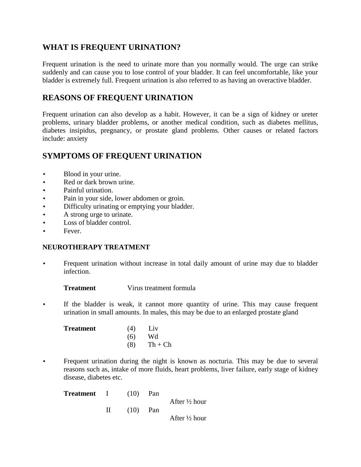## **WHAT IS FREQUENT URINATION?**

Frequent urination is the need to urinate more than you normally would. The urge can strike suddenly and can cause you to lose control of your bladder. It can feel uncomfortable, like your bladder is extremely full. Frequent urination is also referred to as having an overactive bladder.

## **REASONS OF FREQUENT URINATION**

Frequent urination can also develop as a habit. However, it can be a sign of kidney or ureter problems, urinary bladder problems, or another medical condition, such as diabetes mellitus, diabetes insipidus, pregnancy, or prostate gland problems. Other causes or related factors include: anxiety

## **SYMPTOMS OF FREQUENT URINATION**

- Blood in your urine.
- Red or dark brown urine.
- Painful urination.
- Pain in your side, lower abdomen or groin.
- Difficulty urinating or emptying your bladder.
- A strong urge to urinate.
- Loss of bladder control.
- Fever.

## **NEUROTHERAPY TREATMENT**

• Frequent urination without increase in total daily amount of urine may due to bladder infection.

**Treatment** Virus treatment formula

 If the bladder is weak, it cannot more quantity of urine. This may cause frequent urination in small amounts. In males, this may be due to an enlarged prostate gland

| Treatment | (4) | Liv           |  |
|-----------|-----|---------------|--|
|           | (6) | Wd            |  |
|           |     | $(8)$ Th + Ch |  |

 Frequent urination during the night is known as nocturia. This may be due to several reasons such as, intake of more fluids, heart problems, liver failure, early stage of kidney disease, diabetes etc.

| <b>Treatment</b> I | $(10)$ Pan    |                          |
|--------------------|---------------|--------------------------|
|                    |               | After $\frac{1}{2}$ hour |
|                    | II $(10)$ Pan | After $\frac{1}{2}$ hour |
|                    |               |                          |